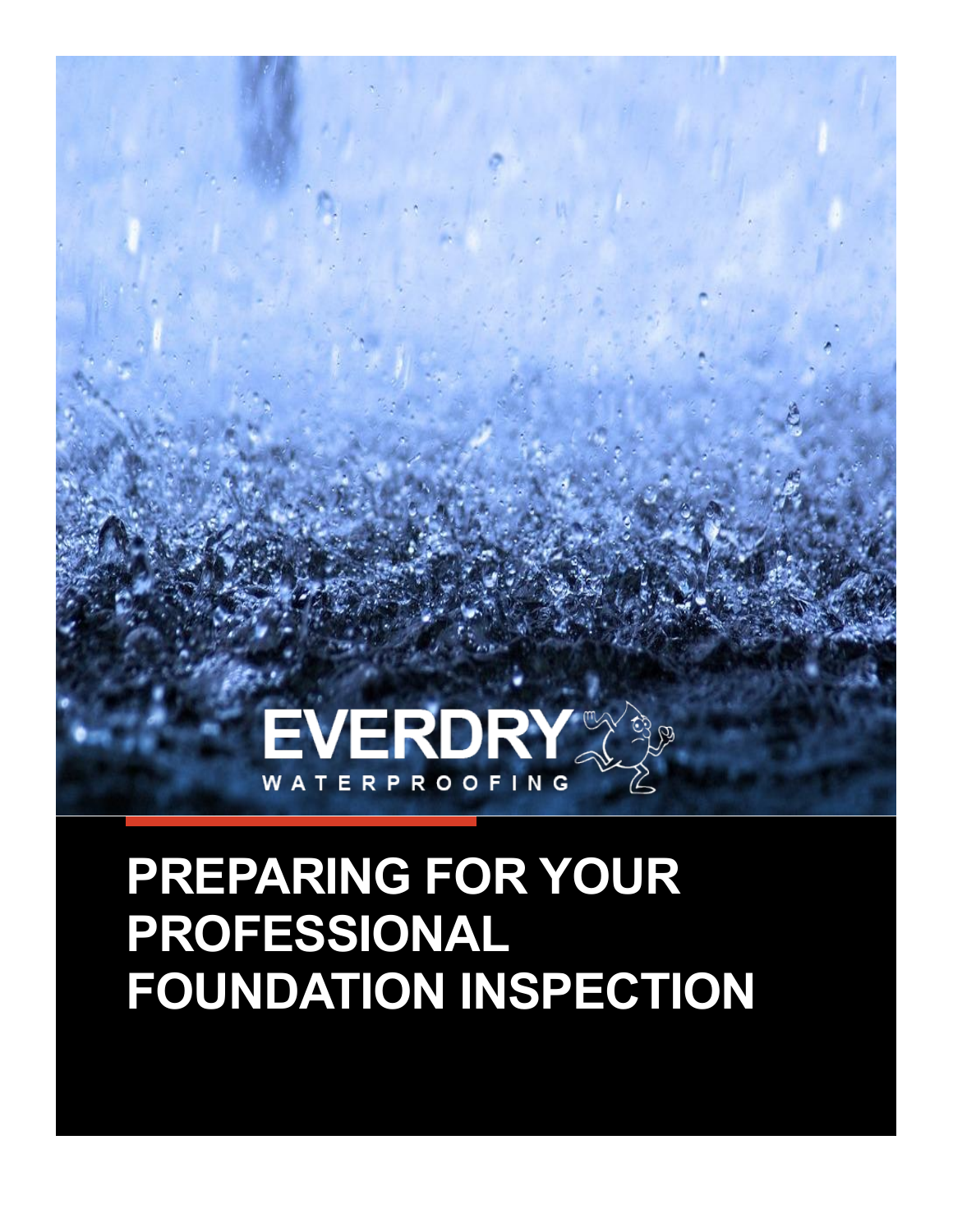

# **PREPARING FOR YOUR PROFESSIONAL FOUNDATION INSPECTION**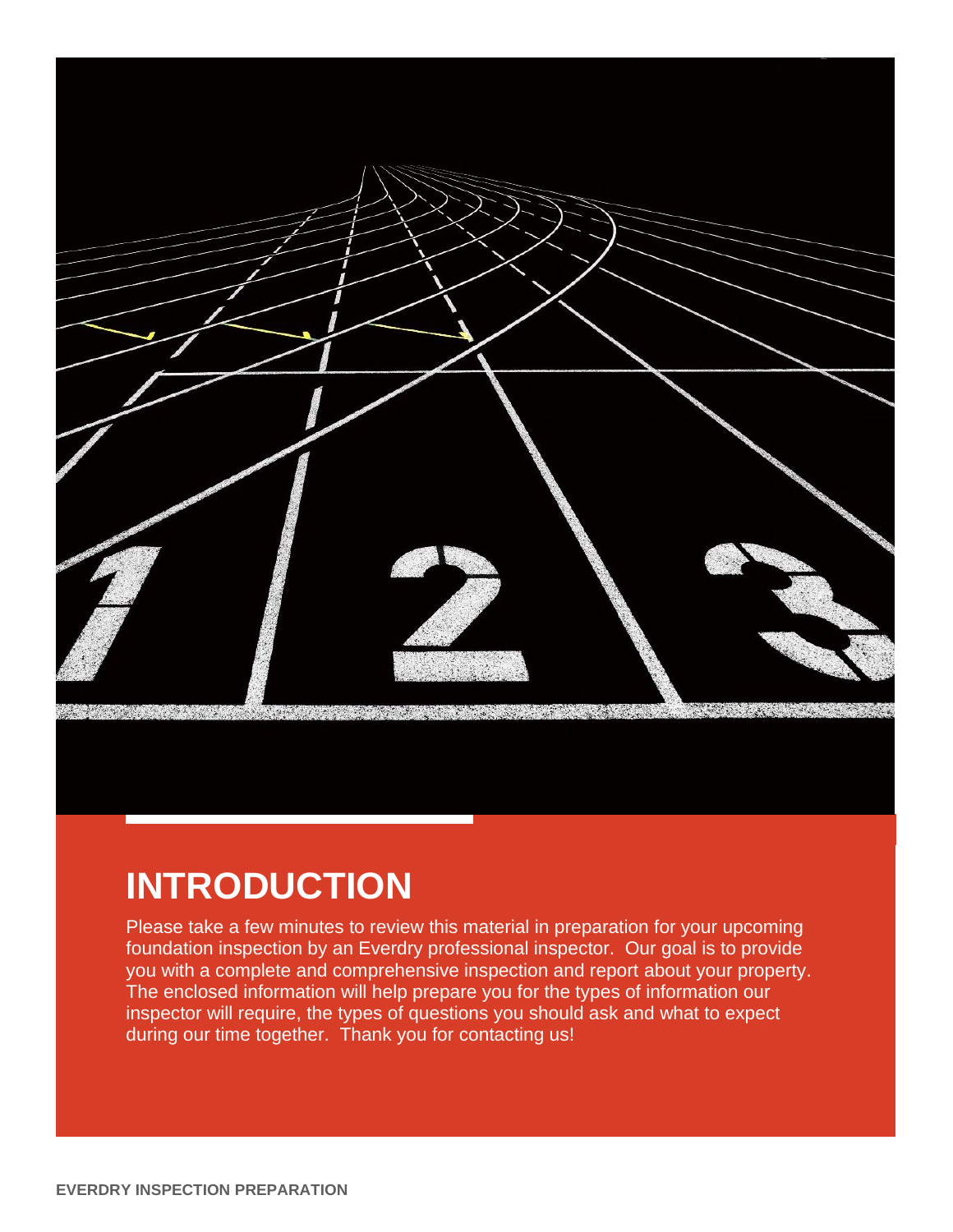

## **INTRODUCTION**

Please take a few minutes to review this material in preparation for your upcoming foundation inspection by an Everdry professional inspector. Our goal is to provide you with a complete and comprehensive inspection and report about your property. The enclosed information will help prepare you for the types of information our inspector will require, the types of questions you should ask and what to expect during our time together. Thank you for contacting us!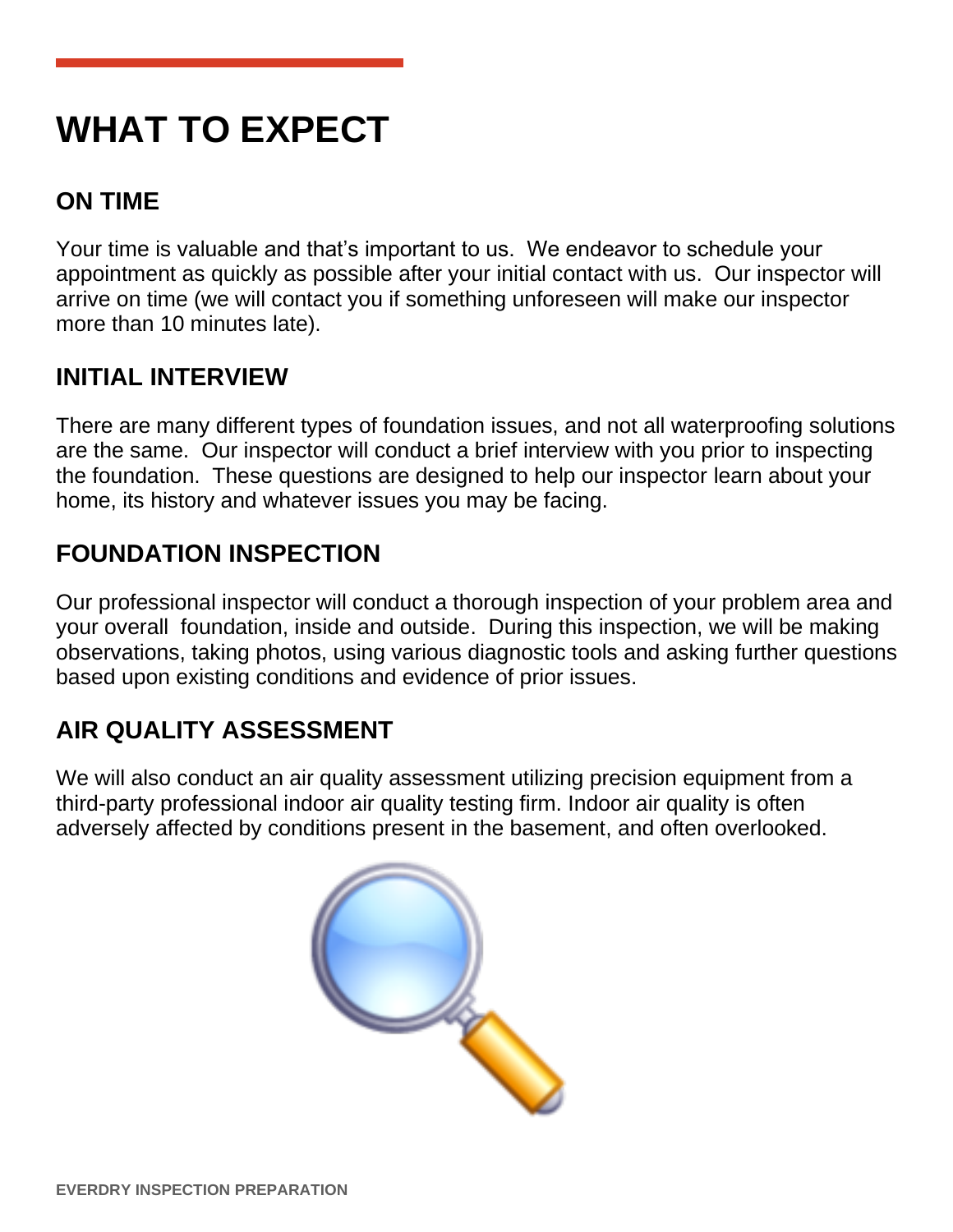# **WHAT TO EXPECT**

## **ON TIME**

Your time is valuable and that's important to us. We endeavor to schedule your appointment as quickly as possible after your initial contact with us. Our inspector will arrive on time (we will contact you if something unforeseen will make our inspector more than 10 minutes late).

## **INITIAL INTERVIEW**

There are many different types of foundation issues, and not all waterproofing solutions are the same. Our inspector will conduct a brief interview with you prior to inspecting the foundation. These questions are designed to help our inspector learn about your home, its history and whatever issues you may be facing.

## **FOUNDATION INSPECTION**

Our professional inspector will conduct a thorough inspection of your problem area and your overall foundation, inside and outside. During this inspection, we will be making observations, taking photos, using various diagnostic tools and asking further questions based upon existing conditions and evidence of prior issues.

## **AIR QUALITY ASSESSMENT**

We will also conduct an air quality assessment utilizing precision equipment from a third-party professional indoor air quality testing firm. Indoor air quality is often adversely affected by conditions present in the basement, and often overlooked.

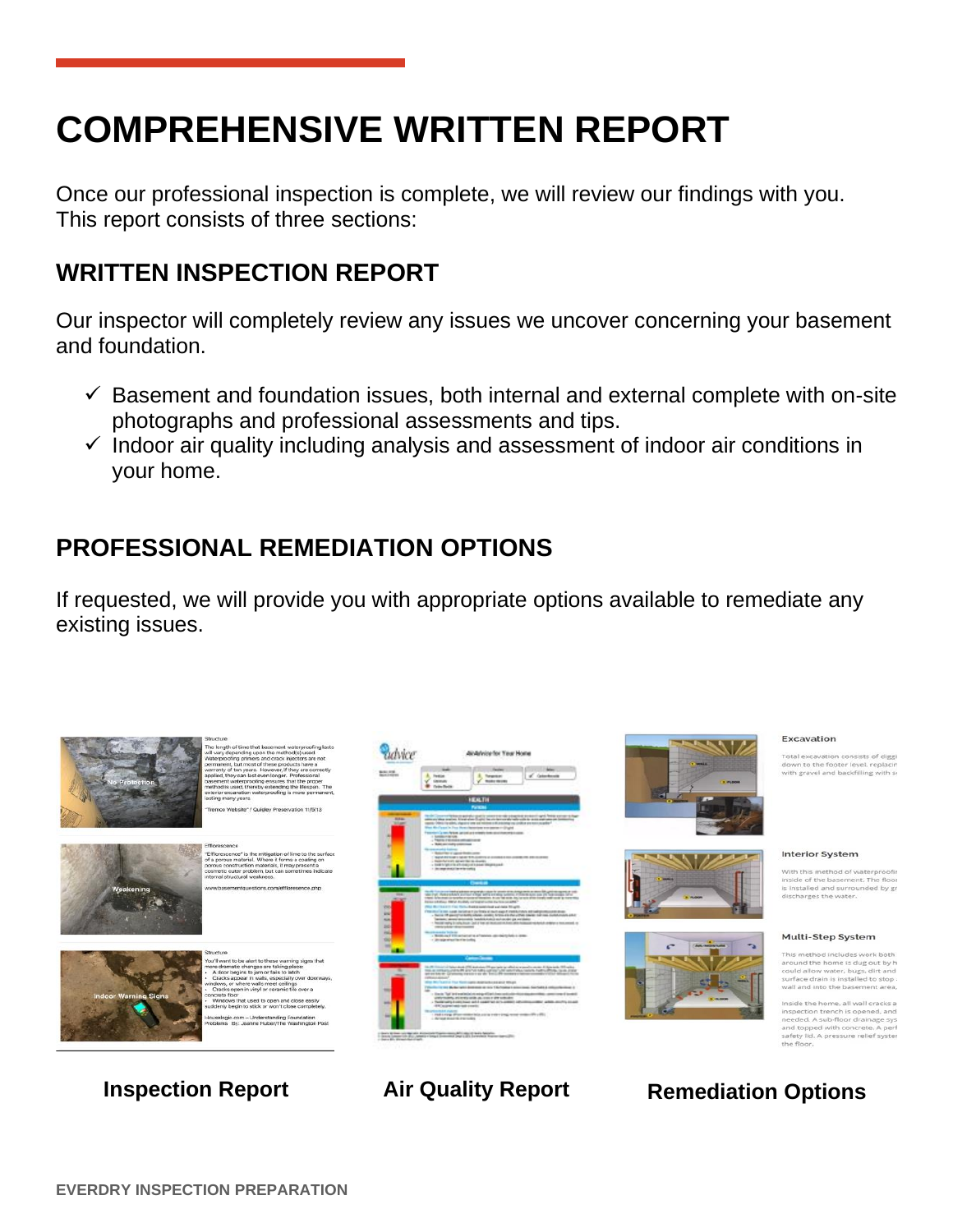# **COMPREHENSIVE WRITTEN REPORT**

Once our professional inspection is complete, we will review our findings with you. This report consists of three sections:

### **WRITTEN INSPECTION REPORT**

Our inspector will completely review any issues we uncover concerning your basement and foundation.

- $\checkmark$  Basement and foundation issues, both internal and external complete with on-site photographs and professional assessments and tips.
- $\checkmark$  Indoor air quality including analysis and assessment of indoor air conditions in your home.

### **PROFESSIONAL REMEDIATION OPTIONS**

If requested, we will provide you with appropriate options available to remediate any existing issues.

















### Excavation

Total excavation consists of digg<br>down to the footer level, replaci<br>with gravel and backfilling with s

### **Interior System**

With this method of waterproofin<br>side of the basement. The floor<br>s installed and surrounded by gr<br>lischarges the water.

### Multi-Step System

thod includes v

th  $\alpha$ 

### **Inspection Report Air Quality Report Remediation Options**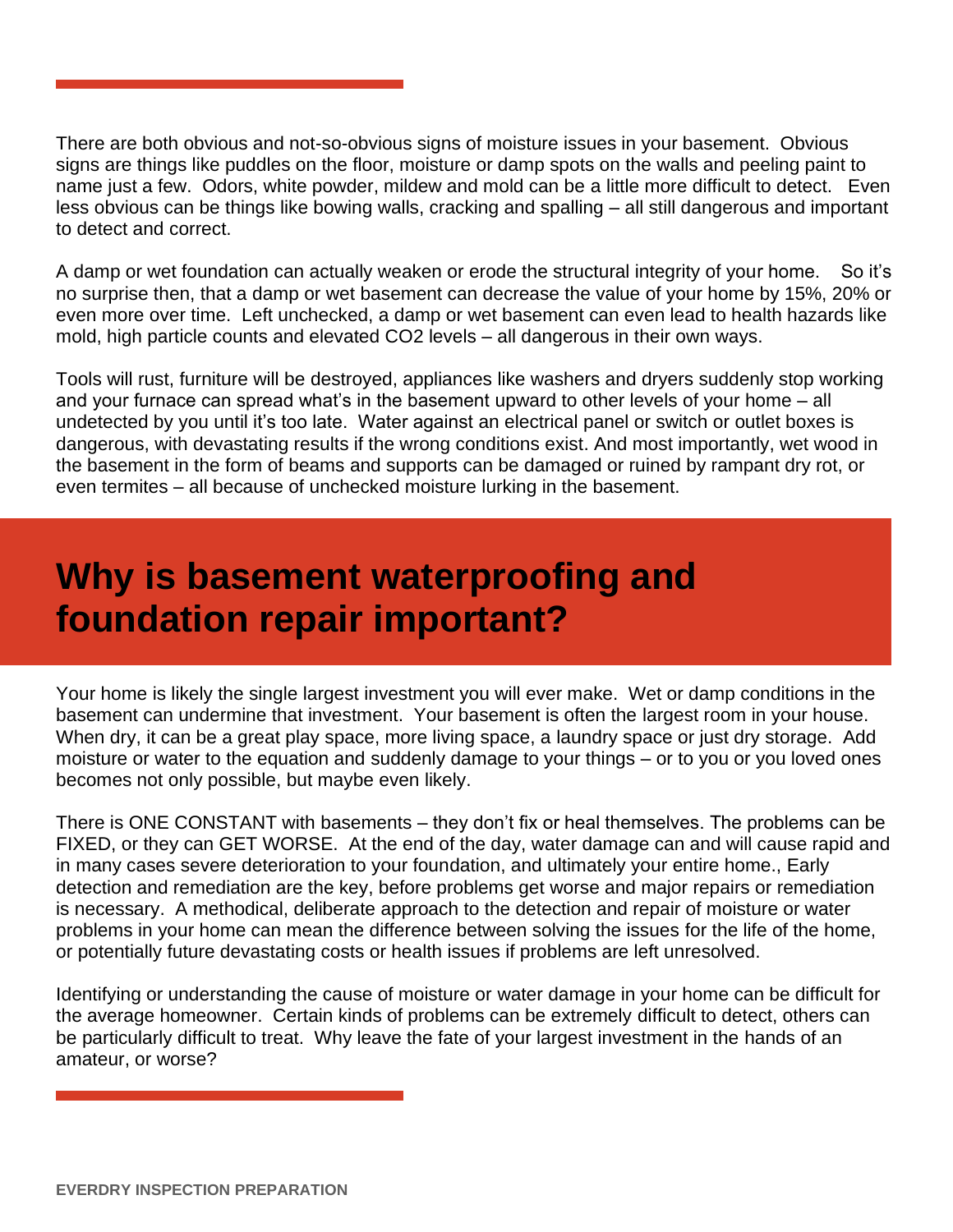There are both obvious and not-so-obvious signs of moisture issues in your basement. Obvious signs are things like puddles on the floor, moisture or damp spots on the walls and peeling paint to name just a few. Odors, white powder, mildew and mold can be a little more difficult to detect. Even less obvious can be things like bowing walls, cracking and spalling – all still dangerous and important to detect and correct.

A damp or wet foundation can actually weaken or erode the structural integrity of your home. So it's no surprise then, that a damp or wet basement can decrease the value of your home by 15%, 20% or even more over time. Left unchecked, a damp or wet basement can even lead to health hazards like mold, high particle counts and elevated CO2 levels – all dangerous in their own ways.

Tools will rust, furniture will be destroyed, appliances like washers and dryers suddenly stop working and your furnace can spread what's in the basement upward to other levels of your home – all undetected by you until it's too late. Water against an electrical panel or switch or outlet boxes is dangerous, with devastating results if the wrong conditions exist. And most importantly, wet wood in the basement in the form of beams and supports can be damaged or ruined by rampant dry rot, or even termites – all because of unchecked moisture lurking in the basement.

## **Why is basement waterproofing and foundation repair important?**

Your home is likely the single largest investment you will ever make. Wet or damp conditions in the basement can undermine that investment. Your basement is often the largest room in your house. When dry, it can be a great play space, more living space, a laundry space or just dry storage. Add moisture or water to the equation and suddenly damage to your things – or to you or you loved ones becomes not only possible, but maybe even likely.

There is ONE CONSTANT with basements – they don't fix or heal themselves. The problems can be FIXED, or they can GET WORSE. At the end of the day, water damage can and will cause rapid and in many cases severe deterioration to your foundation, and ultimately your entire home., Early detection and remediation are the key, before problems get worse and major repairs or remediation is necessary. A methodical, deliberate approach to the detection and repair of moisture or water problems in your home can mean the difference between solving the issues for the life of the home, or potentially future devastating costs or health issues if problems are left unresolved.

Identifying or understanding the cause of moisture or water damage in your home can be difficult for the average homeowner. Certain kinds of problems can be extremely difficult to detect, others can be particularly difficult to treat. Why leave the fate of your largest investment in the hands of an amateur, or worse?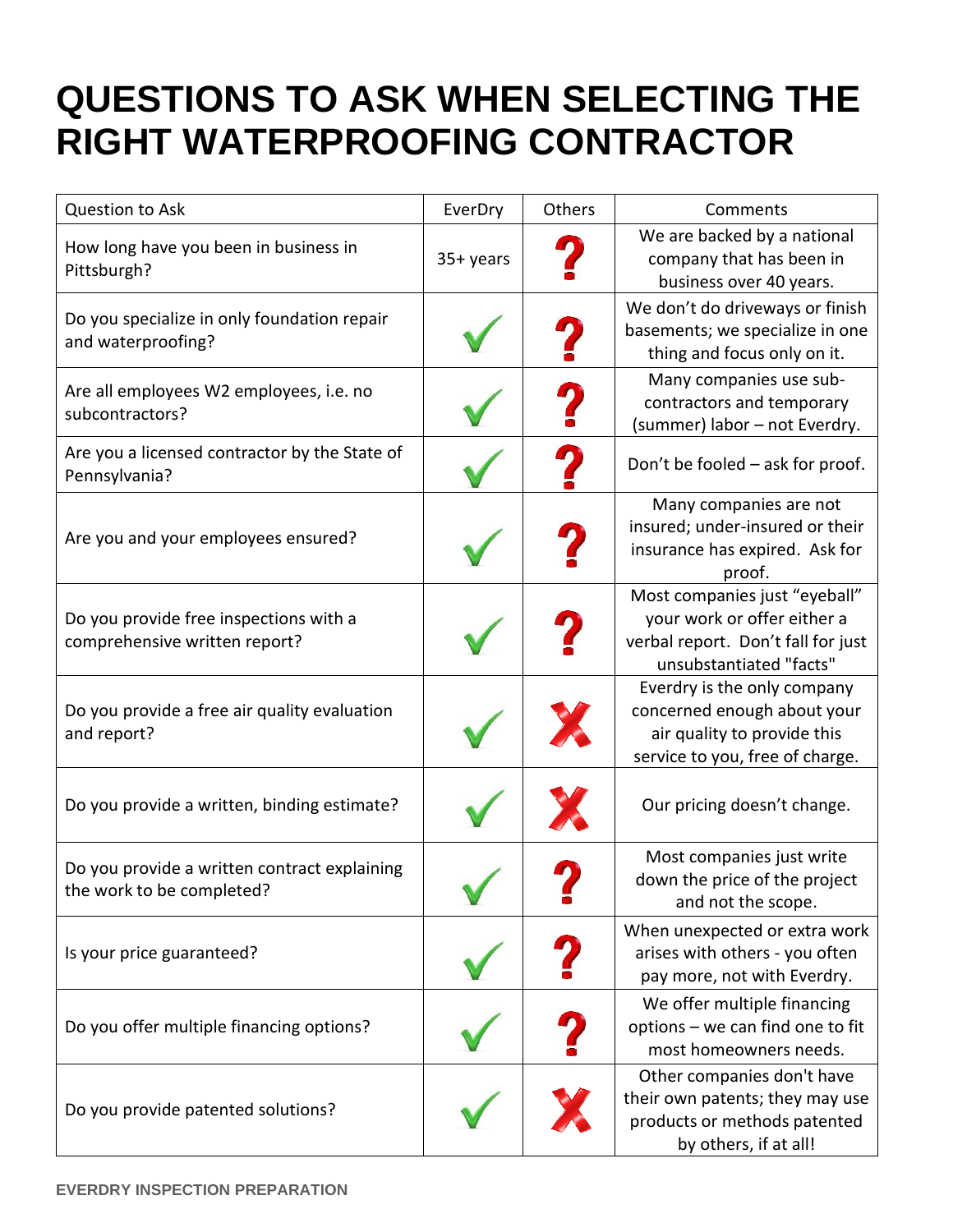## **QUESTIONS TO ASK WHEN SELECTING THE RIGHT WATERPROOFING CONTRACTOR**

| <b>Question to Ask</b>                                                    | EverDry     | Others | Comments                                                                                                                      |
|---------------------------------------------------------------------------|-------------|--------|-------------------------------------------------------------------------------------------------------------------------------|
| How long have you been in business in<br>Pittsburgh?                      | $35+$ years |        | We are backed by a national<br>company that has been in<br>business over 40 years.                                            |
| Do you specialize in only foundation repair<br>and waterproofing?         |             |        | We don't do driveways or finish<br>basements; we specialize in one<br>thing and focus only on it.                             |
| Are all employees W2 employees, i.e. no<br>subcontractors?                |             |        | Many companies use sub-<br>contractors and temporary<br>(summer) labor - not Everdry.                                         |
| Are you a licensed contractor by the State of<br>Pennsylvania?            |             |        | Don't be fooled - ask for proof.                                                                                              |
| Are you and your employees ensured?                                       |             |        | Many companies are not<br>insured; under-insured or their<br>insurance has expired. Ask for<br>proof.                         |
| Do you provide free inspections with a<br>comprehensive written report?   |             |        | Most companies just "eyeball"<br>your work or offer either a<br>verbal report. Don't fall for just<br>unsubstantiated "facts" |
| Do you provide a free air quality evaluation<br>and report?               |             |        | Everdry is the only company<br>concerned enough about your<br>air quality to provide this<br>service to you, free of charge.  |
| Do you provide a written, binding estimate?                               |             |        | Our pricing doesn't change.                                                                                                   |
| Do you provide a written contract explaining<br>the work to be completed? |             |        | Most companies just write<br>down the price of the project<br>and not the scope.                                              |
| Is your price guaranteed?                                                 |             |        | When unexpected or extra work<br>arises with others - you often<br>pay more, not with Everdry.                                |
| Do you offer multiple financing options?                                  |             |        | We offer multiple financing<br>options - we can find one to fit<br>most homeowners needs.                                     |
| Do you provide patented solutions?                                        |             |        | Other companies don't have<br>their own patents; they may use<br>products or methods patented<br>by others, if at all!        |